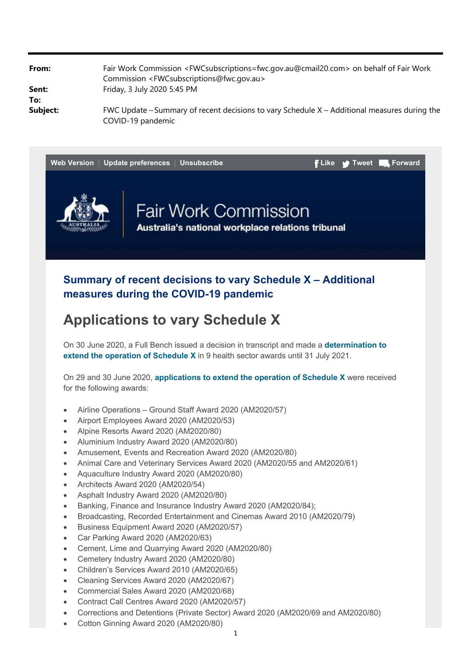| From:        | Fair Work Commission <fwcsubscriptions=fwc.gov.au@cmail20.com> on behalf of Fair Work<br/>Commission <fwcsubscriptions@fwc.gov.au></fwcsubscriptions@fwc.gov.au></fwcsubscriptions=fwc.gov.au@cmail20.com> |
|--------------|------------------------------------------------------------------------------------------------------------------------------------------------------------------------------------------------------------|
| Sent:<br>To: | Friday, 3 July 2020 5:45 PM                                                                                                                                                                                |
| Subject:     | FWC Update $-$ Summary of recent decisions to vary Schedule $X -$ Additional measures during the<br>COVID-19 pandemic                                                                                      |



### **Summary of recent decisions to vary Schedule X – Additional measures during the COVID-19 pandemic**

# **Applications to vary Schedule X**

On 30 June 2020, a Full Bench issued a decision in transcript and made a **determination to extend the operation of Schedule X** in 9 health sector awards until 31 July 2021.

On 29 and 30 June 2020, **applications to extend the operation of Schedule X** were received for the following awards:

- Airline Operations Ground Staff Award 2020 (AM2020/57)
- Airport Employees Award 2020 (AM2020/53)
- Alpine Resorts Award 2020 (AM2020/80)
- Aluminium Industry Award 2020 (AM2020/80)
- Amusement, Events and Recreation Award 2020 (AM2020/80)
- Animal Care and Veterinary Services Award 2020 (AM2020/55 and AM2020/61)
- Aquaculture Industry Award 2020 (AM2020/80)
- Architects Award 2020 (AM2020/54)
- Asphalt Industry Award 2020 (AM2020/80)
- Banking, Finance and Insurance Industry Award 2020 (AM2020/84);
- Broadcasting, Recorded Entertainment and Cinemas Award 2010 (AM2020/79)
- Business Equipment Award 2020 (AM2020/57)
- Car Parking Award 2020 (AM2020/63)
- Cement, Lime and Quarrying Award 2020 (AM2020/80)
- Cemetery Industry Award 2020 (AM2020/80)
- Children's Services Award 2010 (AM2020/65)
- Cleaning Services Award 2020 (AM2020/67)
- Commercial Sales Award 2020 (AM2020/68)
- Contract Call Centres Award 2020 (AM2020/57)
- Corrections and Detentions (Private Sector) Award 2020 (AM2020/69 and AM2020/80)
- Cotton Ginning Award 2020 (AM2020/80)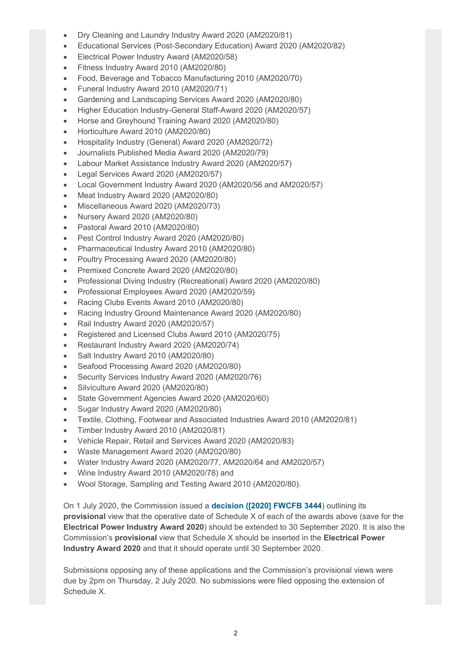- Dry Cleaning and Laundry Industry Award 2020 (AM2020/81)
- Educational Services (Post-Secondary Education) Award 2020 (AM2020/82)
- Electrical Power Industry Award (AM2020/58)
- Fitness Industry Award 2010 (AM2020/80)
- Food, Beverage and Tobacco Manufacturing 2010 (AM2020/70)
- Funeral Industry Award 2010 (AM2020/71)
- Gardening and Landscaping Services Award 2020 (AM2020/80)
- Higher Education Industry-General Staff-Award 2020 (AM2020/57)
- Horse and Greyhound Training Award 2020 (AM2020/80)
- Horticulture Award 2010 (AM2020/80)
- Hospitality Industry (General) Award 2020 (AM2020/72)
- Journalists Published Media Award 2020 (AM2020/79)
- Labour Market Assistance Industry Award 2020 (AM2020/57)
- Legal Services Award 2020 (AM2020/57)
- Local Government Industry Award 2020 (AM2020/56 and AM2020/57)
- Meat Industry Award 2020 (AM2020/80)
- Miscellaneous Award 2020 (AM2020/73)
- Nursery Award 2020 (AM2020/80)
- Pastoral Award 2010 (AM2020/80)
- Pest Control Industry Award 2020 (AM2020/80)
- Pharmaceutical Industry Award 2010 (AM2020/80)
- Poultry Processing Award 2020 (AM2020/80)
- Premixed Concrete Award 2020 (AM2020/80)
- Professional Diving Industry (Recreational) Award 2020 (AM2020/80)
- Professional Employees Award 2020 (AM2020/59)
- Racing Clubs Events Award 2010 (AM2020/80)
- Racing Industry Ground Maintenance Award 2020 (AM2020/80)
- Rail Industry Award 2020 (AM2020/57)
- Registered and Licensed Clubs Award 2010 (AM2020/75)
- Restaurant Industry Award 2020 (AM2020/74)
- Salt Industry Award 2010 (AM2020/80)
- Seafood Processing Award 2020 (AM2020/80)
- Security Services Industry Award 2020 (AM2020/76)
- Silviculture Award 2020 (AM2020/80)
- State Government Agencies Award 2020 (AM2020/60)
- Sugar Industry Award 2020 (AM2020/80)
- Textile, Clothing, Footwear and Associated Industries Award 2010 (AM2020/81)
- Timber Industry Award 2010 (AM2020/81)
- Vehicle Repair, Retail and Services Award 2020 (AM2020/83)
- Waste Management Award 2020 (AM2020/80)
- Water Industry Award 2020 (AM2020/77, AM2020/64 and AM2020/57)
- Wine Industry Award 2010 (AM2020/78) and
- Wool Storage, Sampling and Testing Award 2010 (AM2020/80).

On 1 July 2020, the Commission issued a **decision ([2020] FWCFB 3444**) outlining its **provisional** view that the operative date of Schedule X of each of the awards above (save for the **Electrical Power Industry Award 2020**) should be extended to 30 September 2020. It is also the Commission's **provisional** view that Schedule X should be inserted in the **Electrical Power Industry Award 2020** and that it should operate until 30 September 2020.

Submissions opposing any of these applications and the Commission's provisional views were due by 2pm on Thursday, 2 July 2020. No submissions were filed opposing the extension of Schedule X.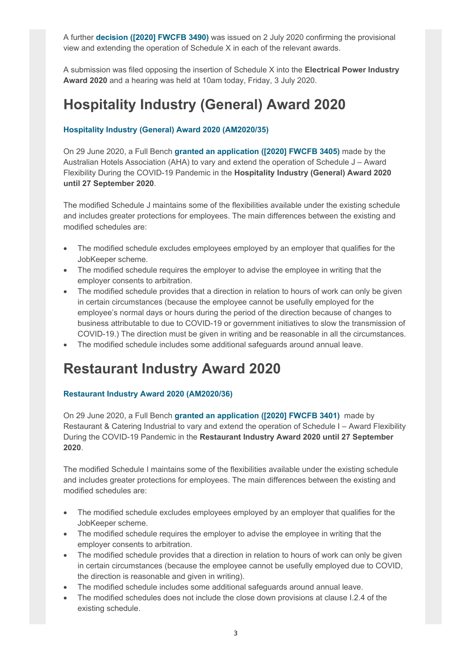A further **decision ([2020] FWCFB 3490)** was issued on 2 July 2020 confirming the provisional view and extending the operation of Schedule X in each of the relevant awards.

A submission was filed opposing the insertion of Schedule X into the **Electrical Power Industry Award 2020** and a hearing was held at 10am today, Friday, 3 July 2020.

# **Hospitality Industry (General) Award 2020**

#### **Hospitality Industry (General) Award 2020 (AM2020/35)**

On 29 June 2020, a Full Bench **granted an application ([2020] FWCFB 3405)** made by the Australian Hotels Association (AHA) to vary and extend the operation of Schedule J – Award Flexibility During the COVID-19 Pandemic in the **Hospitality Industry (General) Award 2020 until 27 September 2020**.

The modified Schedule J maintains some of the flexibilities available under the existing schedule and includes greater protections for employees. The main differences between the existing and modified schedules are:

- The modified schedule excludes employees employed by an employer that qualifies for the JobKeeper scheme.
- The modified schedule requires the employer to advise the employee in writing that the employer consents to arbitration.
- The modified schedule provides that a direction in relation to hours of work can only be given in certain circumstances (because the employee cannot be usefully employed for the employee's normal days or hours during the period of the direction because of changes to business attributable to due to COVID-19 or government initiatives to slow the transmission of COVID-19.) The direction must be given in writing and be reasonable in all the circumstances.
- The modified schedule includes some additional safeguards around annual leave.

# **Restaurant Industry Award 2020**

#### **Restaurant Industry Award 2020 (AM2020/36)**

On 29 June 2020, a Full Bench **granted an application ([2020] FWCFB 3401)** made by Restaurant & Catering Industrial to vary and extend the operation of Schedule I – Award Flexibility During the COVID-19 Pandemic in the **Restaurant Industry Award 2020 until 27 September 2020**.

The modified Schedule I maintains some of the flexibilities available under the existing schedule and includes greater protections for employees. The main differences between the existing and modified schedules are:

- The modified schedule excludes employees employed by an employer that qualifies for the JobKeeper scheme.
- The modified schedule requires the employer to advise the employee in writing that the employer consents to arbitration.
- The modified schedule provides that a direction in relation to hours of work can only be given in certain circumstances (because the employee cannot be usefully employed due to COVID, the direction is reasonable and given in writing).
- The modified schedule includes some additional safeguards around annual leave.
- The modified schedules does not include the close down provisions at clause I.2.4 of the existing schedule.